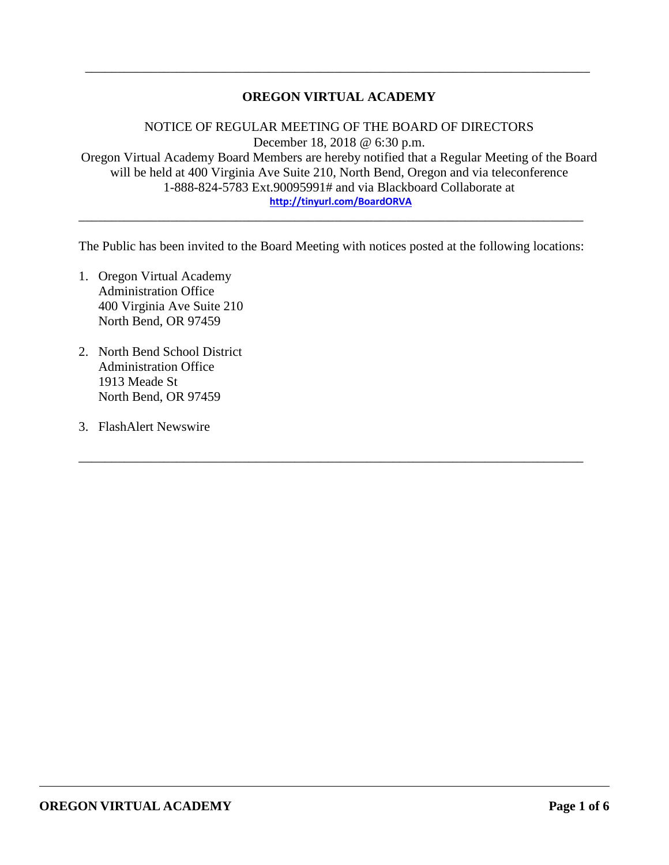## **OREGON VIRTUAL ACADEMY**

\_\_\_\_\_\_\_\_\_\_\_\_\_\_\_\_\_\_\_\_\_\_\_\_\_\_\_\_\_\_\_\_\_\_\_\_\_\_\_\_\_\_\_\_\_\_\_\_\_\_\_\_\_\_\_\_\_\_\_\_\_\_\_\_\_\_\_\_\_\_\_\_\_\_\_\_\_

NOTICE OF REGULAR MEETING OF THE BOARD OF DIRECTORS December 18, 2018 @ 6:30 p.m. Oregon Virtual Academy Board Members are hereby notified that a Regular Meeting of the Board will be held at 400 Virginia Ave Suite 210, North Bend, Oregon and via teleconference 1-888-824-5783 Ext.90095991# and via Blackboard Collaborate at **<http://tinyurl.com/BoardORVA>**

The Public has been invited to the Board Meeting with notices posted at the following locations:

\_\_\_\_\_\_\_\_\_\_\_\_\_\_\_\_\_\_\_\_\_\_\_\_\_\_\_\_\_\_\_\_\_\_\_\_\_\_\_\_\_\_\_\_\_\_\_\_\_\_\_\_\_\_\_\_\_\_\_\_\_\_\_\_\_\_\_\_\_\_\_\_\_\_\_\_\_

\_\_\_\_\_\_\_\_\_\_\_\_\_\_\_\_\_\_\_\_\_\_\_\_\_\_\_\_\_\_\_\_\_\_\_\_\_\_\_\_\_\_\_\_\_\_\_\_\_\_\_\_\_\_\_\_\_\_\_\_\_\_\_\_\_\_\_\_\_\_\_\_\_\_\_\_\_

- 1. Oregon Virtual Academy Administration Office 400 Virginia Ave Suite 210 North Bend, OR 97459
- 2. North Bend School District Administration Office 1913 Meade St North Bend, OR 97459
- 3. FlashAlert Newswire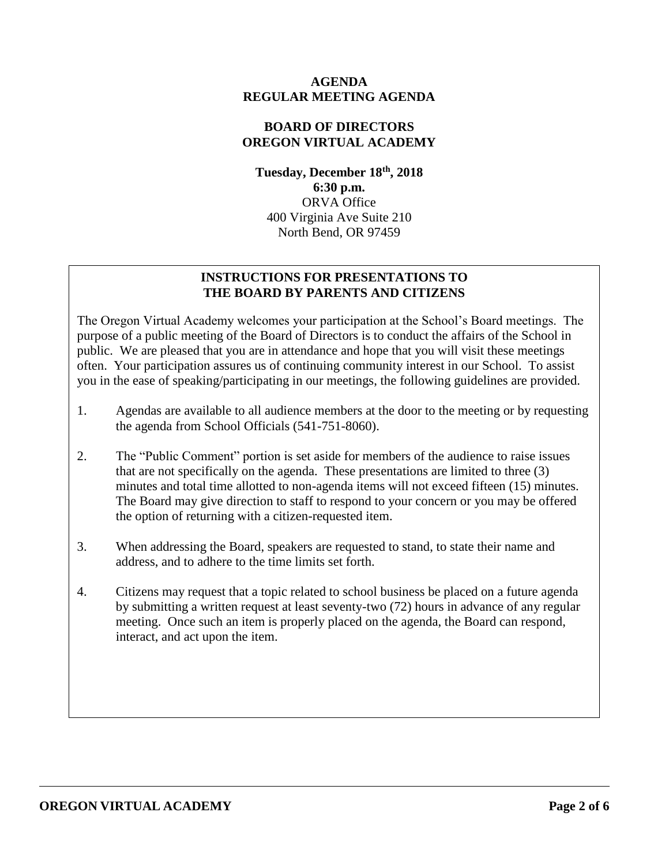#### **AGENDA REGULAR MEETING AGENDA**

#### **BOARD OF DIRECTORS OREGON VIRTUAL ACADEMY**

**Tuesday, December 18 th , 2018 6:30 p.m.** ORVA Office 400 Virginia Ave Suite 210 North Bend, OR 97459

## **INSTRUCTIONS FOR PRESENTATIONS TO THE BOARD BY PARENTS AND CITIZENS**

The Oregon Virtual Academy welcomes your participation at the School's Board meetings. The purpose of a public meeting of the Board of Directors is to conduct the affairs of the School in public. We are pleased that you are in attendance and hope that you will visit these meetings often. Your participation assures us of continuing community interest in our School. To assist you in the ease of speaking/participating in our meetings, the following guidelines are provided.

- 1. Agendas are available to all audience members at the door to the meeting or by requesting the agenda from School Officials (541-751-8060).
- 2. The "Public Comment" portion is set aside for members of the audience to raise issues that are not specifically on the agenda. These presentations are limited to three (3) minutes and total time allotted to non-agenda items will not exceed fifteen (15) minutes. The Board may give direction to staff to respond to your concern or you may be offered the option of returning with a citizen-requested item.
- 3. When addressing the Board, speakers are requested to stand, to state their name and address, and to adhere to the time limits set forth.
- 4. Citizens may request that a topic related to school business be placed on a future agenda by submitting a written request at least seventy-two (72) hours in advance of any regular meeting. Once such an item is properly placed on the agenda, the Board can respond, interact, and act upon the item.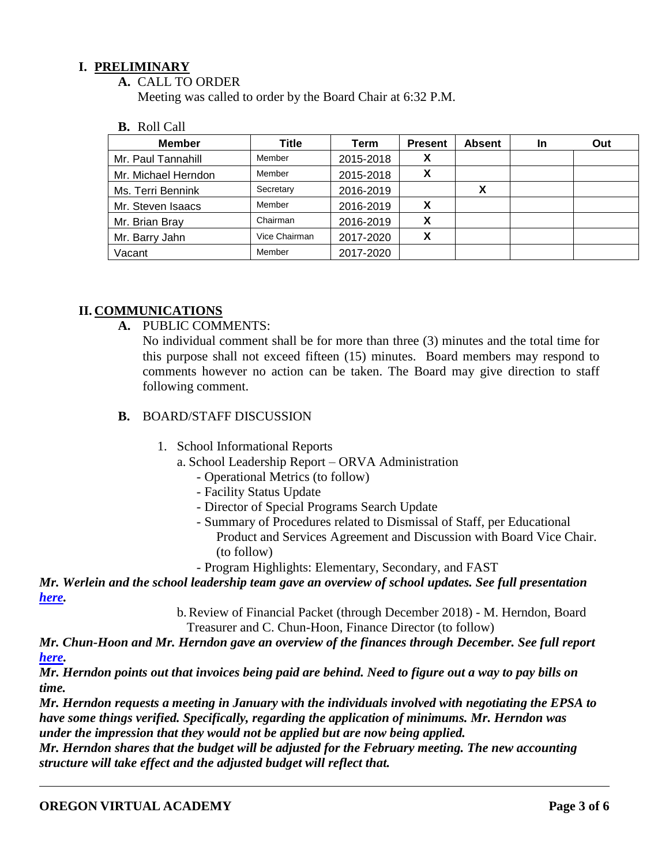#### **I. PRELIMINARY**

**A.** CALL TO ORDER

Meeting was called to order by the Board Chair at 6:32 P.M.

**B.** Roll Call

| <b>Member</b>       | Title         | Term      | <b>Present</b> | <b>Absent</b> | <b>In</b> | Out |
|---------------------|---------------|-----------|----------------|---------------|-----------|-----|
| Mr. Paul Tannahill  | Member        | 2015-2018 | Х              |               |           |     |
| Mr. Michael Herndon | Member        | 2015-2018 | х              |               |           |     |
| Ms. Terri Bennink   | Secretary     | 2016-2019 |                | х             |           |     |
| Mr. Steven Isaacs   | Member        | 2016-2019 |                |               |           |     |
| Mr. Brian Bray      | Chairman      | 2016-2019 | X              |               |           |     |
| Mr. Barry Jahn      | Vice Chairman | 2017-2020 | X              |               |           |     |
| Vacant              | Member        | 2017-2020 |                |               |           |     |

#### **II. COMMUNICATIONS**

**A.** PUBLIC COMMENTS:

No individual comment shall be for more than three (3) minutes and the total time for this purpose shall not exceed fifteen (15) minutes. Board members may respond to comments however no action can be taken. The Board may give direction to staff following comment.

- **B.** BOARD/STAFF DISCUSSION
	- 1. School Informational Reports
		- a. School Leadership Report ORVA Administration
			- Operational Metrics (to follow)
			- Facility Status Update
			- Director of Special Programs Search Update
			- Summary of Procedures related to Dismissal of Staff, per Educational Product and Services Agreement and Discussion with Board Vice Chair. (to follow)
			- Program Highlights: Elementary, Secondary, and FAST

*Mr. Werlein and the school leadership team gave an overview of school updates. See full presentation [here.](https://k12inc-my.sharepoint.com/:b:/g/personal/mecaldwell_oregonva_org/EY7QZY47CrlAt6UvFytJ9McBS-siuUBcYOvPHYK-xmeQRQ?e=T9aF7F)* 

> b.Review of Financial Packet (through December 2018) - M. Herndon, Board Treasurer and C. Chun-Hoon, Finance Director (to follow)

*Mr. Chun-Hoon and Mr. Herndon gave an overview of the finances through December. See full report [here.](https://k12inc-my.sharepoint.com/:p:/g/personal/mecaldwell_oregonva_org/ET08fjobF6BJiKB_9oJJ_38B29xNIEx6q0K1pXlJSCHG_Q?e=aywRAx)*

*Mr. Herndon points out that invoices being paid are behind. Need to figure out a way to pay bills on time.*

*Mr. Herndon requests a meeting in January with the individuals involved with negotiating the EPSA to have some things verified. Specifically, regarding the application of minimums. Mr. Herndon was under the impression that they would not be applied but are now being applied.*

*Mr. Herndon shares that the budget will be adjusted for the February meeting. The new accounting structure will take effect and the adjusted budget will reflect that.*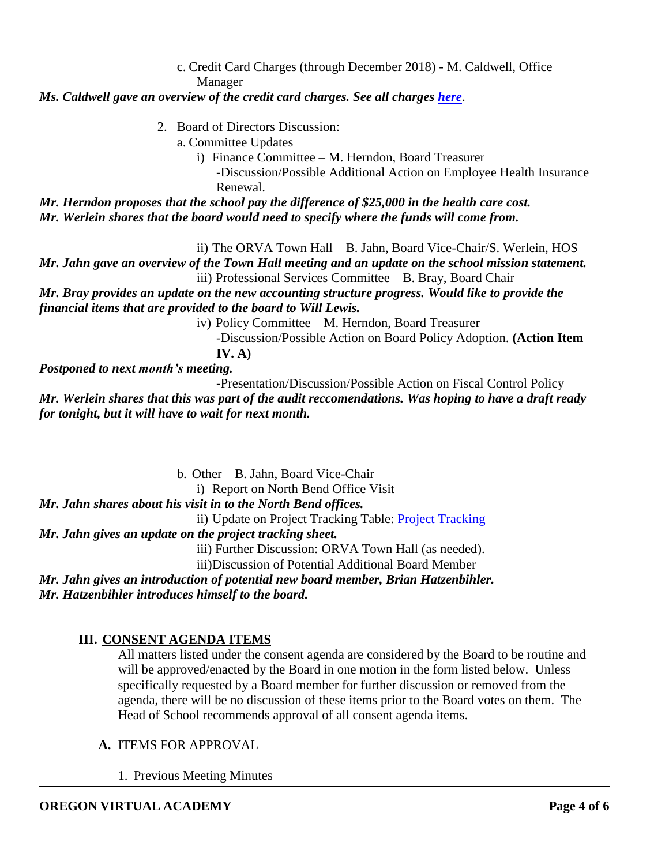c. Credit Card Charges (through December 2018) - M. Caldwell, Office Manager

## *Ms. Caldwell gave an overview of the credit card charges. See all charges [here](https://k12inc-my.sharepoint.com/:p:/g/personal/mecaldwell_oregonva_org/EYdyqk319-1KhL1eI5OSB2EBkEd7cmF24HyPwMjFiw8zsw?e=1dW6yy)*.

- 2. Board of Directors Discussion:
	- a. Committee Updates
		- i) Finance Committee M. Herndon, Board Treasurer

-Discussion/Possible Additional Action on Employee Health Insurance Renewal.

*Mr. Herndon proposes that the school pay the difference of \$25,000 in the health care cost. Mr. Werlein shares that the board would need to specify where the funds will come from.* 

ii) The ORVA Town Hall – B. Jahn, Board Vice-Chair/S. Werlein, HOS

*Mr. Jahn gave an overview of the Town Hall meeting and an update on the school mission statement.* iii) Professional Services Committee – B. Bray, Board Chair

*Mr. Bray provides an update on the new accounting structure progress. Would like to provide the financial items that are provided to the board to Will Lewis.* 

iv) Policy Committee – M. Herndon, Board Treasurer

-Discussion/Possible Action on Board Policy Adoption. **(Action Item IV. A)**

*Postponed to next month's meeting.* 

-Presentation/Discussion/Possible Action on Fiscal Control Policy *Mr. Werlein shares that this was part of the audit reccomendations. Was hoping to have a draft ready for tonight, but it will have to wait for next month.* 

b. Other – B. Jahn, Board Vice-Chair

i) Report on North Bend Office Visit

*Mr. Jahn shares about his visit in to the North Bend offices.* 

ii) Update on Project Tracking Table: [Project Tracking](https://docs.google.com/document/d/1RTVhuEjAlhrFC0LuB-8wiTd-hAj64I6JH8Cj6G876Eg/edit)

## *Mr. Jahn gives an update on the project tracking sheet.*

iii) Further Discussion: ORVA Town Hall (as needed).

iii)Discussion of Potential Additional Board Member

*Mr. Jahn gives an introduction of potential new board member, Brian Hatzenbihler. Mr. Hatzenbihler introduces himself to the board.*

# **III. CONSENT AGENDA ITEMS**

All matters listed under the consent agenda are considered by the Board to be routine and will be approved/enacted by the Board in one motion in the form listed below. Unless specifically requested by a Board member for further discussion or removed from the agenda, there will be no discussion of these items prior to the Board votes on them. The Head of School recommends approval of all consent agenda items.

## **A.** ITEMS FOR APPROVAL

1. Previous Meeting Minutes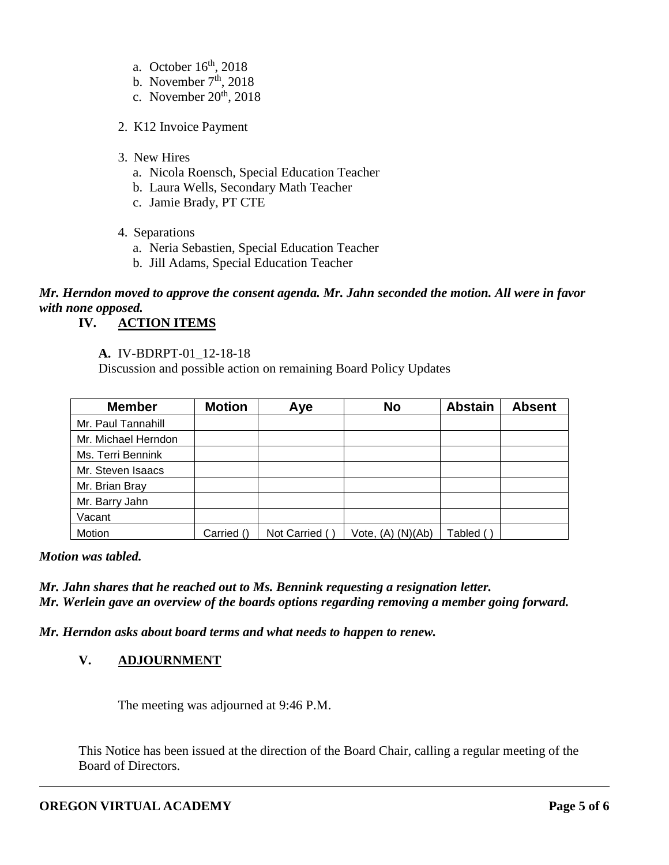- a. October  $16<sup>th</sup>$ , 2018
- b. November  $7<sup>th</sup>$ , 2018
- c. November  $20<sup>th</sup>$ ,  $2018$
- 2. K12 Invoice Payment
- 3. New Hires
	- a. Nicola Roensch, Special Education Teacher
	- b. Laura Wells, Secondary Math Teacher
	- c. Jamie Brady, PT CTE
- 4. Separations
	- a. Neria Sebastien, Special Education Teacher
	- b. Jill Adams, Special Education Teacher

# *Mr. Herndon moved to approve the consent agenda. Mr. Jahn seconded the motion. All were in favor with none opposed.*

## **IV. ACTION ITEMS**

**A.** IV-BDRPT-01\_12-18-18

Discussion and possible action on remaining Board Policy Updates

| <b>Member</b>       | <b>Motion</b> | Aye           | <b>No</b>             | <b>Abstain</b> | <b>Absent</b> |
|---------------------|---------------|---------------|-----------------------|----------------|---------------|
| Mr. Paul Tannahill  |               |               |                       |                |               |
| Mr. Michael Herndon |               |               |                       |                |               |
| Ms. Terri Bennink   |               |               |                       |                |               |
| Mr. Steven Isaacs   |               |               |                       |                |               |
| Mr. Brian Bray      |               |               |                       |                |               |
| Mr. Barry Jahn      |               |               |                       |                |               |
| Vacant              |               |               |                       |                |               |
| Motion              | Carried ()    | Not Carried ( | Vote, $(A)$ $(N)(Ab)$ | Tabled (       |               |

*Motion was tabled.* 

*Mr. Jahn shares that he reached out to Ms. Bennink requesting a resignation letter. Mr. Werlein gave an overview of the boards options regarding removing a member going forward.* 

*Mr. Herndon asks about board terms and what needs to happen to renew.* 

## **V. ADJOURNMENT**

The meeting was adjourned at 9:46 P.M.

This Notice has been issued at the direction of the Board Chair, calling a regular meeting of the Board of Directors.